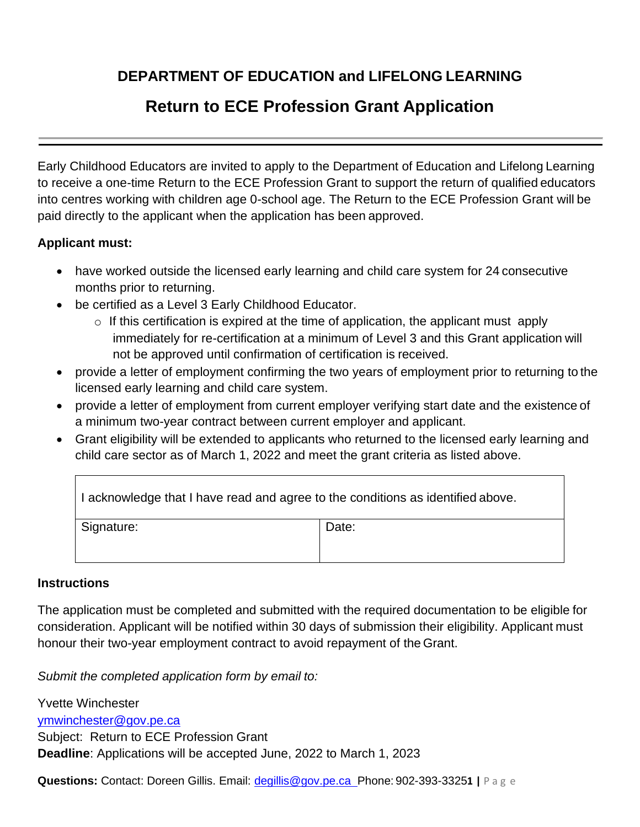## **DEPARTMENT OF EDUCATION and LIFELONG LEARNING**

# **Return to ECE Profession Grant Application**

Early Childhood Educators are invited to apply to the Department of Education and Lifelong Learning to receive a one-time Return to the ECE Profession Grant to support the return of qualified educators into centres working with children age 0-school age. The Return to the ECE Profession Grant will be paid directly to the applicant when the application has been approved.

### **Applicant must:**

- have worked outside the licensed early learning and child care system for 24 consecutive months prior to returning.
- be certified as a Level 3 Early Childhood Educator.
	- $\circ$  If this certification is expired at the time of application, the applicant must apply immediately for re-certification at a minimum of Level 3 and this Grant application will not be approved until confirmation of certification is received.
- provide a letter of employment confirming the two years of employment prior to returning to the licensed early learning and child care system.
- provide a letter of employment from current employer verifying start date and the existence of a minimum two-year contract between current employer and applicant.
- Grant eligibility will be extended to applicants who returned to the licensed early learning and child care sector as of March 1, 2022 and meet the grant criteria as listed above.

| I acknowledge that I have read and agree to the conditions as identified above. |       |  |
|---------------------------------------------------------------------------------|-------|--|
| Signature:                                                                      | Date: |  |

#### **Instructions**

The application must be completed and submitted with the required documentation to be eligible for consideration. Applicant will be notified within 30 days of submission their eligibility. Applicant must honour their two-year employment contract to avoid repayment of the Grant.

*Submit the completed application form by email to:*

Yvette Winchester [ymwinchester@gov.pe.ca](mailto:ymwinchester@gov.pe.ca) Subject: Return to ECE Profession Grant **Deadline**: Applications will be accepted June, 2022 to March 1, 2023

**Questions:** Contact: Doreen Gillis. Email: [degillis@gov.pe.ca P](mailto:degillis@gov.pe.ca)hone: 902-393-3325**1 |** P a g e